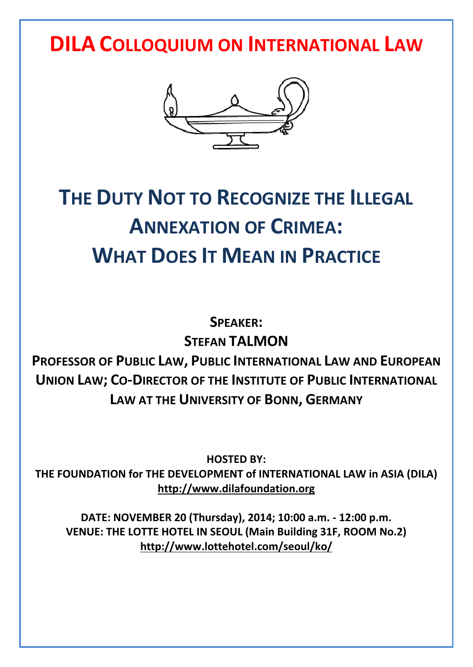**DILA COLLOQUIUM ON INTERNATIONAL LAW**



# **THE DUTY NOT TO RECOGNIZE THE ILLEGAL ANNEXATION OF CRIMEA: WHAT DOES IT MEAN IN PRACTICE**

**SPEAKER: STEFAN TALMON**

**PROFESSOR OF PUBLIC LAW, PUBLIC INTERNATIONAL LAW AND EUROPEAN UNION LAW; CO-DIRECTOR OF THE INSTITUTE OF PUBLIC INTERNATIONAL LAW AT THE UNIVERSITY OF BONN, GERMANY**

**HOSTED BY: THE FOUNDATION for THE DEVELOPMENT of INTERNATIONAL LAW in ASIA (DILA) http://www.dilafoundation.org**

**DATE: NOVEMBER 20 (Thursday), 2014; 10:00 a.m. - 12:00 p.m. VENUE: THE LOTTE HOTEL IN SEOUL (Main Building 31F, ROOM No.2) http://www.lottehotel.com/seoul/ko/**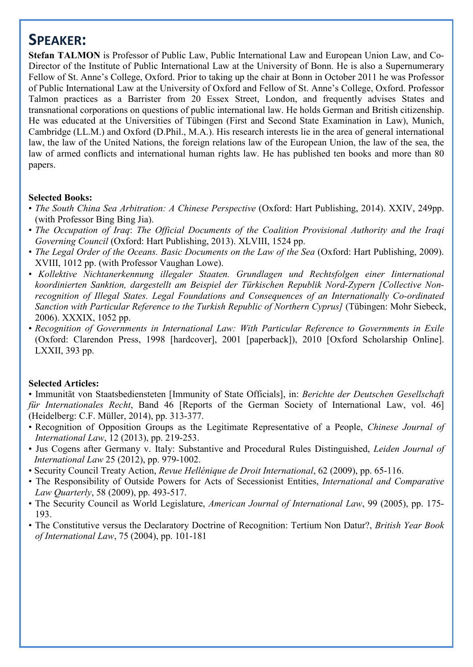### **SPEAKER:**

**Stefan TALMON** is Professor of Public Law, Public International Law and European Union Law, and Co- Director of the Institute of Public International Law at the University of Bonn. He is also a Supernumerary Fellow of St. Anne's College, Oxford. Prior to taking up the chair at Bonn in October 2011 he was Professor of Public International Law at the University of Oxford and Fellow of St. Anne's College, Oxford. Professor Talmon practices as a Barrister from 20 Essex Street, London, and frequently advises States and transnational corporations on questions of public international law. He holds German and British citizenship. He was educated at the Universities of Tübingen (First and Second State Examination in Law), Munich, Cambridge (LL.M.) and Oxford (D.Phil., M.A.). His research interests lie in the area of general international law, the law of the United Nations, the foreign relations law of the European Union, the law of the sea, the law of armed conflicts and international human rights law. He has published ten books and more than 80 papers.

#### **Selected Books:**

- *The South China Sea Arbitration: A Chinese Perspective* (Oxford: Hart Publishing, 2014). XXIV, 249pp. (with Professor Bing Bing Jia).
- *The Occupation of Iraq*: *The Official Documents of the Coalition Provisional Authority and the Iraqi Governing Council* (Oxford: Hart Publishing, 2013). XLVIII, 1524 pp.
- *The Legal Order of the Oceans. Basic Documents on the Law of the Sea* (Oxford: Hart Publishing, 2009). XVIII, 1012 pp. (with Professor Vaughan Lowe).
- *Kollektive Nichtanerkennung illegaler Staaten. Grundlagen und Rechtsfolgen einer Iinternational koordinierten Sanktion, dargestellt am Beispiel der Türkischen Republik Nord-Zypern [Collective Non recognition of Illegal States. Legal Foundations and Consequences of an Internationally Co-ordinated Sanction with Particular Reference to the Turkish Republic of Northern Cyprus]* (Tübingen: Mohr Siebeck, 2006). XXXIX, 1052 pp.
- *Recognition of Governments in International Law: With Particular Reference to Governments in Exile* (Oxford: Clarendon Press, 1998 [hardcover], 2001 [paperback]), 2010 [Oxford Scholarship Online]. LXXII, 393 pp.

#### **Selected Articles:**

• Immunität von Staatsbediensteten [Immunity of State Officials], in: *Berichte der Deutschen Gesellschaft für Internationales Recht*, Band 46 [Reports of the German Society of International Law, vol. 46] (Heidelberg: C.F. Müller, 2014), pp. 313-377.

- Recognition of Opposition Groups as the Legitimate Representative of a People, *Chinese Journal of International Law*, 12 (2013), pp. 219-253.
- Jus Cogens after Germany v. Italy: Substantive and Procedural Rules Distinguished, *Leiden Journal of International Law* 25 (2012), pp. 979-1002.
- Security Council Treaty Action, *Revue Hellénique de Droit International*, 62 (2009), pp. 65-116.
- The Responsibility of Outside Powers for Acts of Secessionist Entities, *International and Comparative Law Quarterly*, 58 (2009), pp. 493-517.
- The Security Council as World Legislature, *American Journal of International Law*, 99 (2005), pp. 175- 193.
- The Constitutive versus the Declaratory Doctrine of Recognition: Tertium Non Datur?, *British Year Book of International Law*, 75 (2004), pp. 101-181